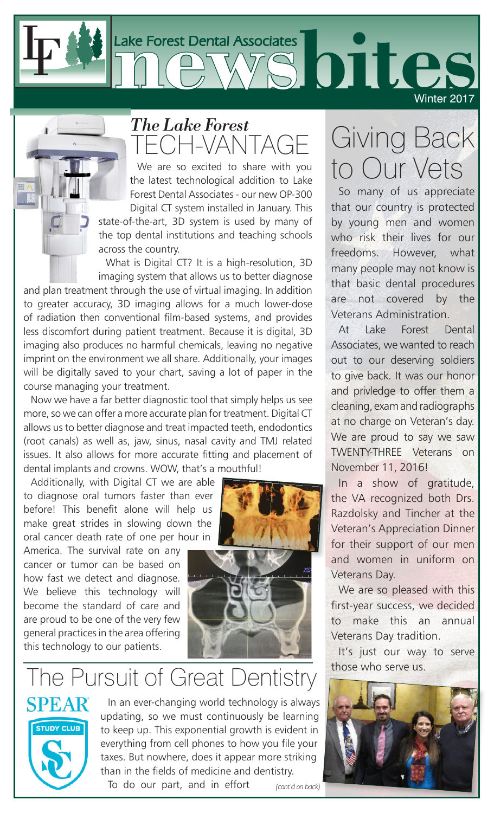

## FCH-VANT, *The Lake Forest*

We are so excited to share with you the latest technological addition to Lake Forest Dental Associates - our new OP-300 Digital CT system installed in January. This

state-of-the-art, 3D system is used by many of the top dental institutions and teaching schools across the country.

What is Digital CT? It is a high-resolution, 3D imaging system that allows us to better diagnose

and plan treatment through the use of virtual imaging. In addition to greater accuracy, 3D imaging allows for a much lower-dose of radiation then conventional film-based systems, and provides less discomfort during patient treatment. Because it is digital, 3D imaging also produces no harmful chemicals, leaving no negative imprint on the environment we all share. Additionally, your images will be digitally saved to your chart, saving a lot of paper in the course managing your treatment.

Now we have a far better diagnostic tool that simply helps us see more, so we can offer a more accurate plan for treatment. Digital CT allows us to better diagnose and treat impacted teeth, endodontics (root canals) as well as, jaw, sinus, nasal cavity and TMJ related issues. It also allows for more accurate fitting and placement of dental implants and crowns. WOW, that's a mouthful!

Additionally, with Digital CT we are able to diagnose oral tumors faster than ever before! This benefit alone will help us make great strides in slowing down the oral cancer death rate of one per hour in

America. The survival rate on any cancer or tumor can be based on how fast we detect and diagnose. We believe this technology will become the standard of care and are proud to be one of the very few general practices in the area offering this technology to our patients.



## The Pursuit of Great Dentistry



In an ever-changing world technology is always updating, so we must continuously be learning to keep up. This exponential growth is evident in everything from cell phones to how you file your taxes. But nowhere, does it appear more striking than in the fields of medicine and dentistry.

To do our part, and in effort

Giving Back to Our Vets

So many of us appreciate that our country is protected by young men and women who risk their lives for our freedoms. However, what many people may not know is that basic dental procedures are not covered by the Veterans Administration.

At Lake Forest Dental Associates, we wanted to reach out to our deserving soldiers to give back. It was our honor and privledge to offer them a cleaning, exam and radiographs at no charge on Veteran's day. We are proud to say we saw TWENTY-THREE Veterans on November 11, 2016!

In a show of gratitude, the VA recognized both Drs. Razdolsky and Tincher at the Veteran's Appreciation Dinner for their support of our men and women in uniform on Veterans Day.

We are so pleased with this first-year success, we decided to make this an annual Veterans Day tradition.

It's just our way to serve those who serve us.